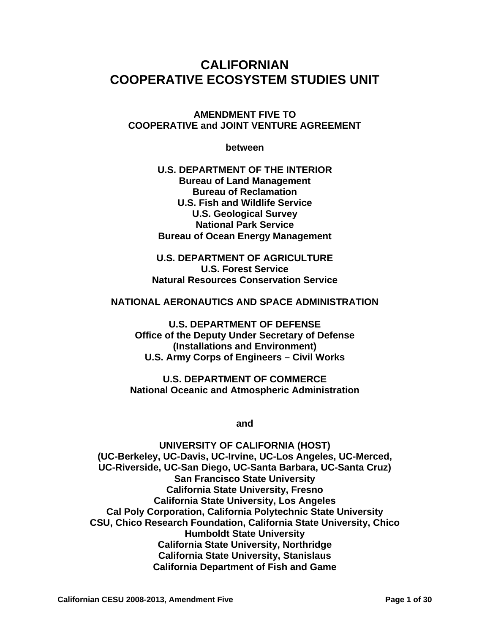# **CALIFORNIAN COOPERATIVE ECOSYSTEM STUDIES UNIT**

**AMENDMENT FIVE TO COOPERATIVE and JOINT VENTURE AGREEMENT**

**between** 

**U.S. DEPARTMENT OF THE INTERIOR Bureau of Land Management Bureau of Reclamation U.S. Fish and Wildlife Service U.S. Geological Survey National Park Service Bureau of Ocean Energy Management** 

**U.S. DEPARTMENT OF AGRICULTURE U.S. Forest Service Natural Resources Conservation Service** 

#### **NATIONAL AERONAUTICS AND SPACE ADMINISTRATION**

**U.S. DEPARTMENT OF DEFENSE Office of the Deputy Under Secretary of Defense (Installations and Environment) U.S. Army Corps of Engineers – Civil Works** 

**U.S. DEPARTMENT OF COMMERCE National Oceanic and Atmospheric Administration** 

**and** 

**UNIVERSITY OF CALIFORNIA (HOST) (UC-Berkeley, UC-Davis, UC-Irvine, UC-Los Angeles, UC-Merced, UC-Riverside, UC-San Diego, UC-Santa Barbara, UC-Santa Cruz) San Francisco State University California State University, Fresno California State University, Los Angeles Cal Poly Corporation, California Polytechnic State University CSU, Chico Research Foundation, California State University, Chico Humboldt State University California State University, Northridge California State University, Stanislaus California Department of Fish and Game**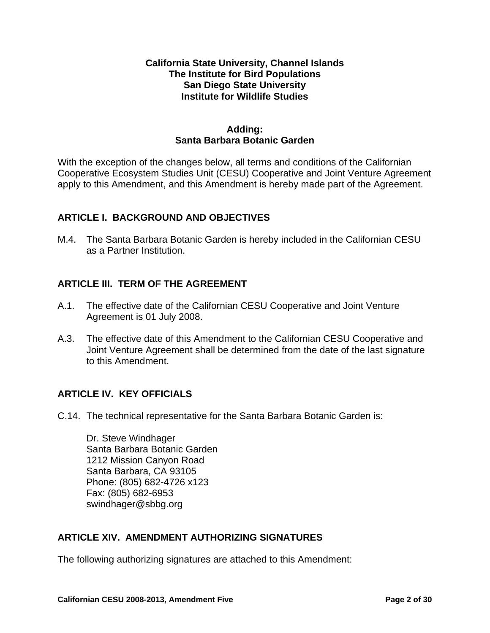#### **California State University, Channel Islands The Institute for Bird Populations San Diego State University Institute for Wildlife Studies**

#### **Adding: Santa Barbara Botanic Garden**

With the exception of the changes below, all terms and conditions of the Californian Cooperative Ecosystem Studies Unit (CESU) Cooperative and Joint Venture Agreement apply to this Amendment, and this Amendment is hereby made part of the Agreement.

## **ARTICLE I. BACKGROUND AND OBJECTIVES**

M.4. The Santa Barbara Botanic Garden is hereby included in the Californian CESU as a Partner Institution.

# **ARTICLE III. TERM OF THE AGREEMENT**

- A.1. The effective date of the Californian CESU Cooperative and Joint Venture Agreement is 01 July 2008.
- A.3. The effective date of this Amendment to the Californian CESU Cooperative and Joint Venture Agreement shall be determined from the date of the last signature to this Amendment.

## **ARTICLE IV. KEY OFFICIALS**

C.14. The technical representative for the Santa Barbara Botanic Garden is:

Dr. Steve Windhager Santa Barbara Botanic Garden 1212 Mission Canyon Road Santa Barbara, CA 93105 Phone: (805) 682-4726 x123 Fax: (805) 682-6953 swindhager@sbbg.org

## **ARTICLE XIV. AMENDMENT AUTHORIZING SIGNATURES**

The following authorizing signatures are attached to this Amendment: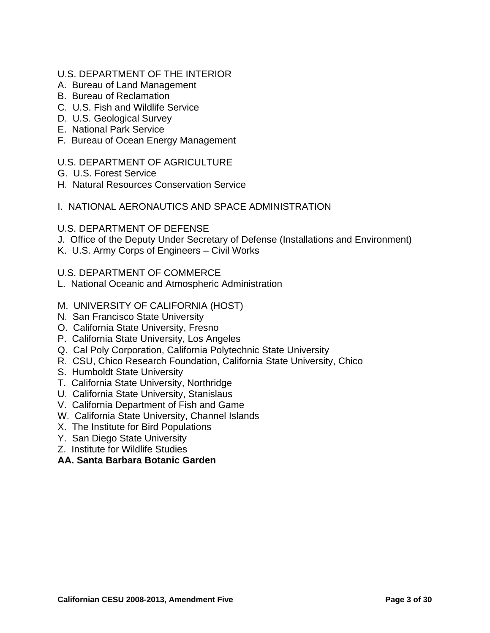#### U.S. DEPARTMENT OF THE INTERIOR

- A. Bureau of Land Management
- B. Bureau of Reclamation
- C. U.S. Fish and Wildlife Service
- D. U.S. Geological Survey
- E. National Park Service
- F. Bureau of Ocean Energy Management

#### U.S. DEPARTMENT OF AGRICULTURE

- G. U.S. Forest Service
- H. Natural Resources Conservation Service

#### I. NATIONAL AERONAUTICS AND SPACE ADMINISTRATION

#### U.S. DEPARTMENT OF DEFENSE

- J. Office of the Deputy Under Secretary of Defense (Installations and Environment)
- K. U.S. Army Corps of Engineers Civil Works

#### U.S. DEPARTMENT OF COMMERCE

- L. National Oceanic and Atmospheric Administration
- M. UNIVERSITY OF CALIFORNIA (HOST)
- N. San Francisco State University
- O. California State University, Fresno
- P. California State University, Los Angeles
- Q. Cal Poly Corporation, California Polytechnic State University
- R. CSU, Chico Research Foundation, California State University, Chico
- S. Humboldt State University
- T. California State University, Northridge
- U. California State University, Stanislaus
- V. California Department of Fish and Game
- W. California State University, Channel Islands
- X. The Institute for Bird Populations
- Y. San Diego State University
- Z. Institute for Wildlife Studies

#### **AA. Santa Barbara Botanic Garden**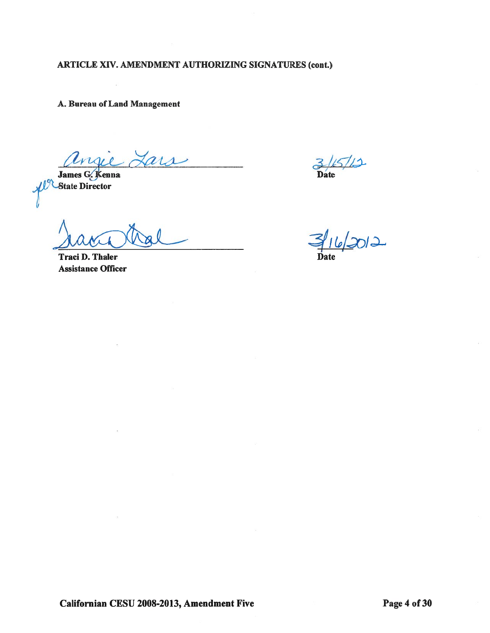A. Bureau of Land Management

tars

James G. Kenna **State Director** 

**Traci D. Thaler Assistance Officer** 

**Date** 

3/16/2012

Californian CESU 2008-2013, Amendment Five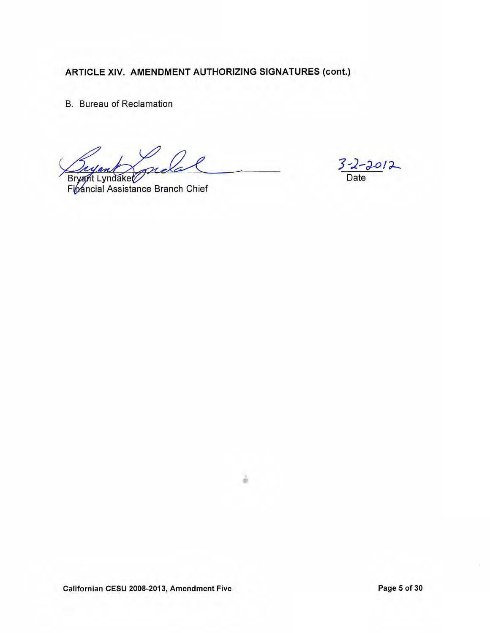**B.** Bureau of Reclamation

 $m$ Bryant Lyndaket

Financial Assistance Branch Chief

 $3 - 2 - 2012$ 

ä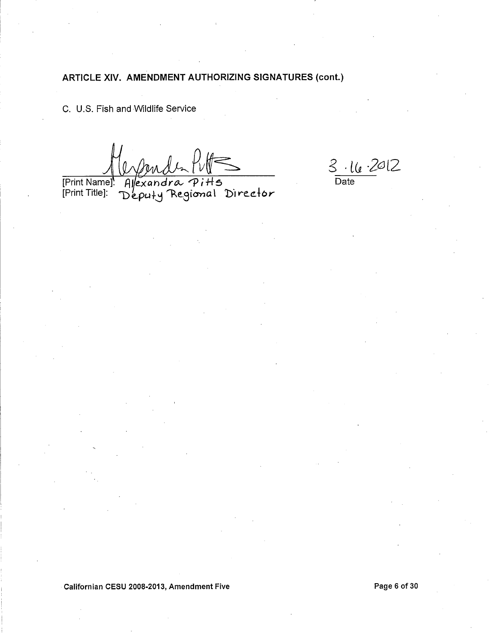C. U.S. Fish and Wildlife Service

Allexandra Pitts<br>Deputy Regional Director [Print Name]<br>[Print Title]:

 $\frac{\text{3 } \cdot \text{16 } \cdot 2012}{\text{Date}}$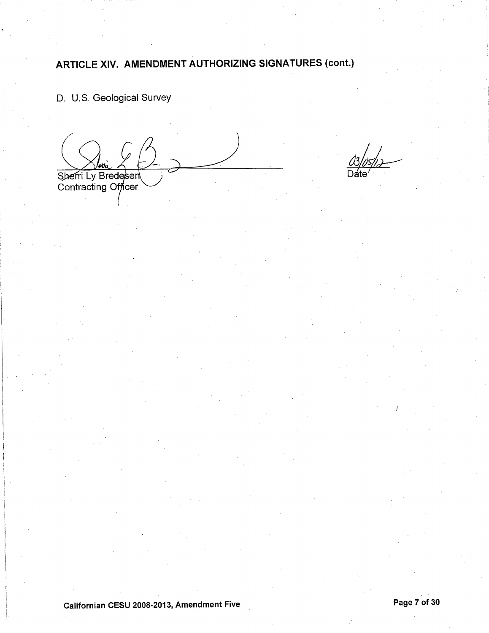D. U.S. Geological Survey

Sherri Ly Bredesen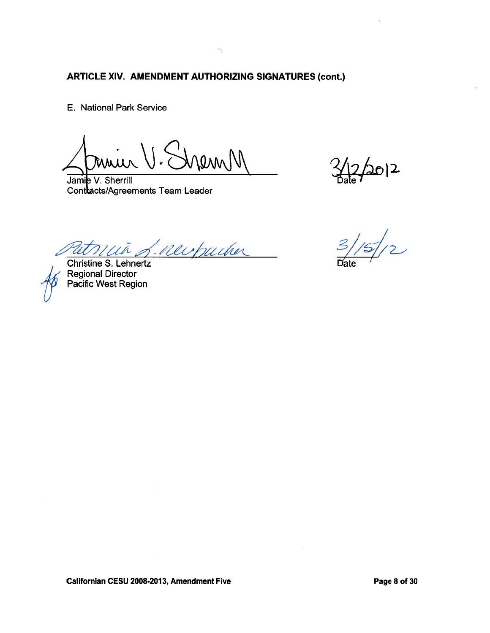E. National Park Service

Mann

 $\frac{1}{2}$   $\frac{1}{2}$   $\frac{1}{2}$   $\frac{1}{2}$   $\frac{1}{2}$ 

Jamie V. Sherrill Contracts/Agreements Team Leader

in f. newpucker  $\mathcal U$ Christine S. Lehnertz

Regional Director Pacific West Region

 $\frac{1}{2}$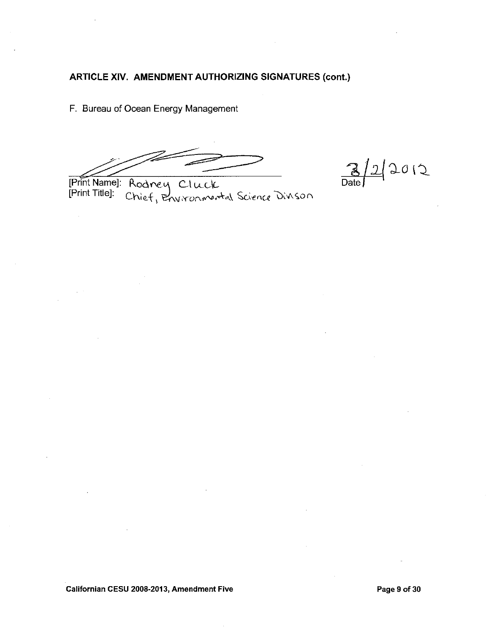F. Bureau of Ocean Energy Management

 $\frac{1}{2}2012$  $\frac{3}{\text{Date}}$ 

[Print Name]: Rodney Cluck<br>[Print Title]: Chief, Environmental Science Divison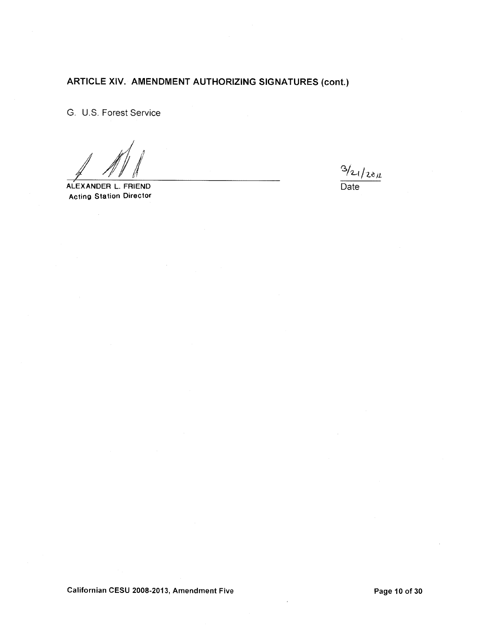G. U.S. Forest Service

ALEXANDER L. FRIEND **Acting Station Director** 

 $3/21/28/1$  $\overline{Date}$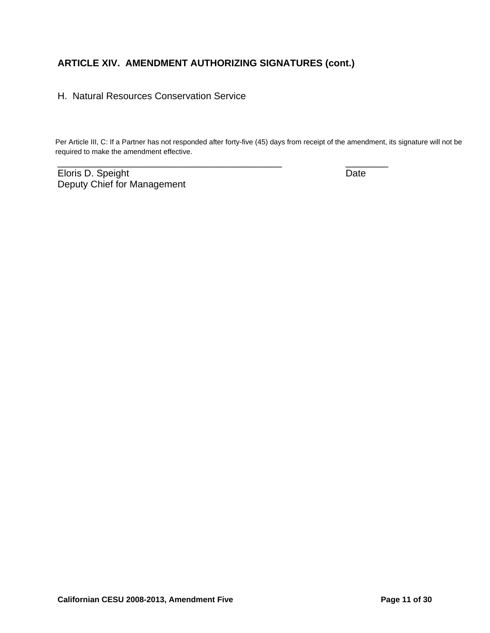\_\_\_\_\_\_\_\_\_\_\_\_\_\_\_\_\_\_\_\_\_\_\_\_\_\_\_\_\_\_\_\_\_\_\_\_\_\_\_\_\_\_ \_\_\_\_\_\_\_\_

#### H. Natural Resources Conservation Service

Per Article III, C: If a Partner has not responded after forty-five (45) days from receipt of the amendment, its signature will not be required to make the amendment effective.

Eloris D. Speight Date Date Date Deputy Chief for Management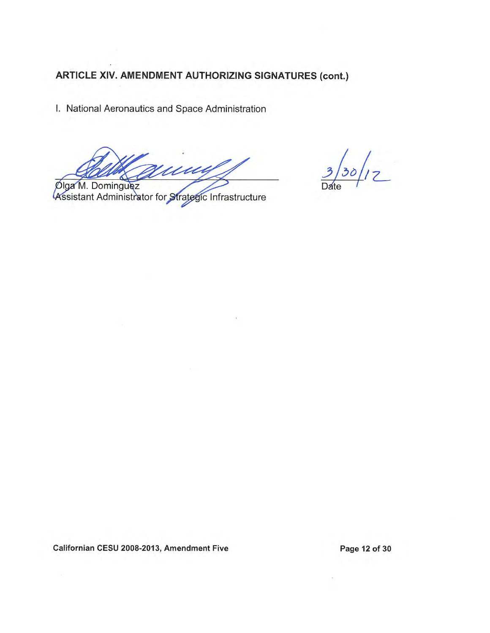I. National Aeronautics and Space Administration

Vuuy

 $3/30/12$ 

Diga M. Dominguez<br>Assistant Administrator for Strategic Infrastructure

Californian CESU 2008-2013, Amendment Five

Page 12 of 30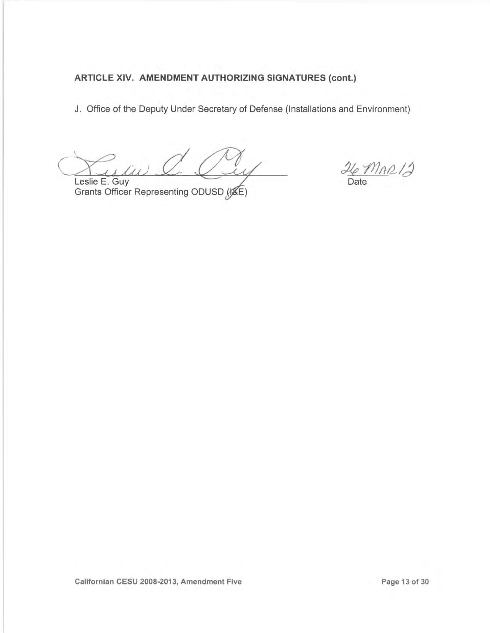J. Office of the Deputy Under Secretary of Defense (Installations and Environment)

 $\sqrt{u}$ Leslie E. Guy

 $26 \text{Mn}$ Date

Grants Officer Representing ODUSD (KE)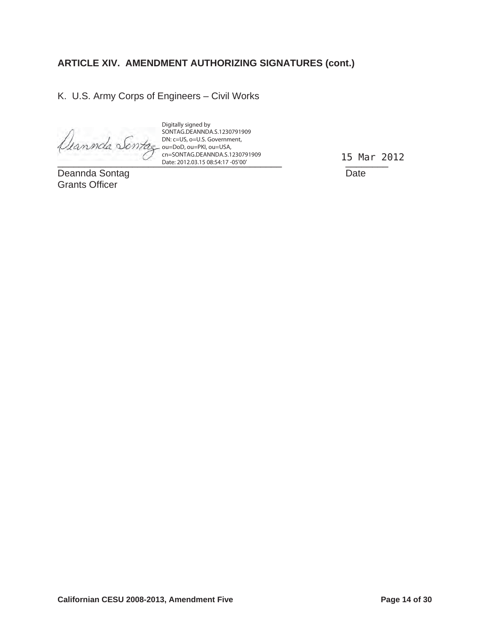K. U.S. Army Corps of Engineers – Civil Works

 $Date: 2012.03.15 08:54:17 - 05'00'$ Digitally signed by SONTAG.DEANNDA.S.1230791909 DN: c=US, o=U.S. Government, ou=DoD, ou=PKI, ou=USA, cn=SONTAG.DEANNDA.S.1230791909 Date: 2012.03.15 08:54:17 -05'00'

Deannda Sontag **Date** Grants Officer

15 Mar 2012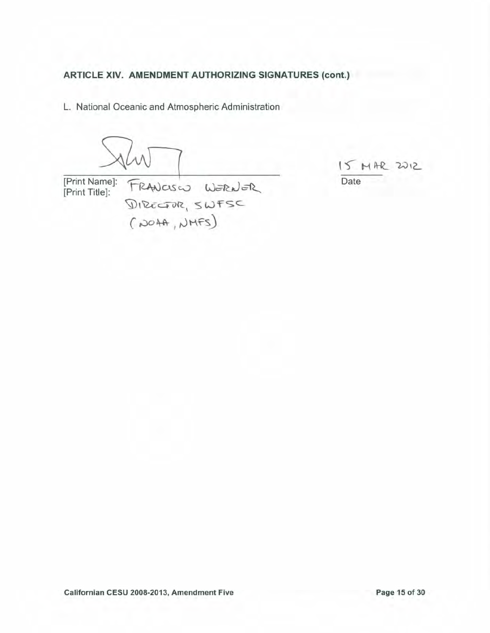L. National Oceanic and Atmospheric Administration

[Print Name]: FRANCISCO WERNER<br>[Print Title]: DIRECTOR, SWFSC<br>(204A, NMFS)

 $15 MHz 2012$ Date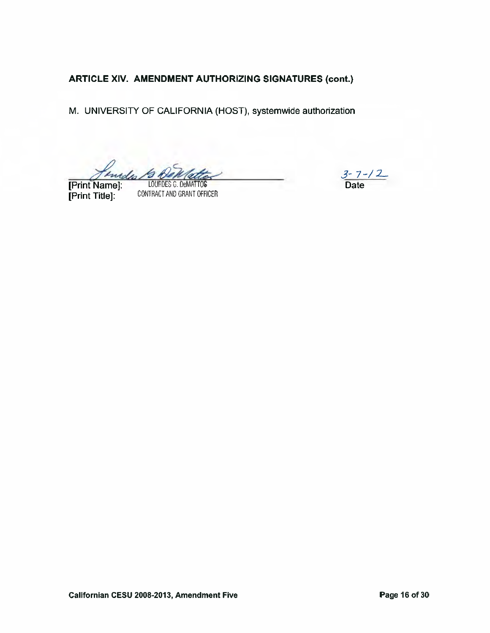M. UNIVERSITY OF CALIFORNIA (HOST), systemwide authorization

Jenedis. LOURDES G. DeMATTOS

[Print Title]:

CONTRACT AND GRANT OFFICER

 $3 - 7 - 12$ <br>Date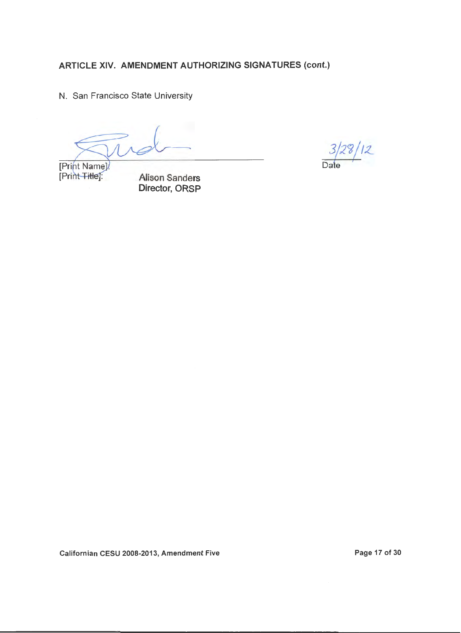N. San Francisco State University

 $3/20/12$ *oa(e--+-*

[Print Name].<br>[Print Title]:

Alison Sanders Director, ORSP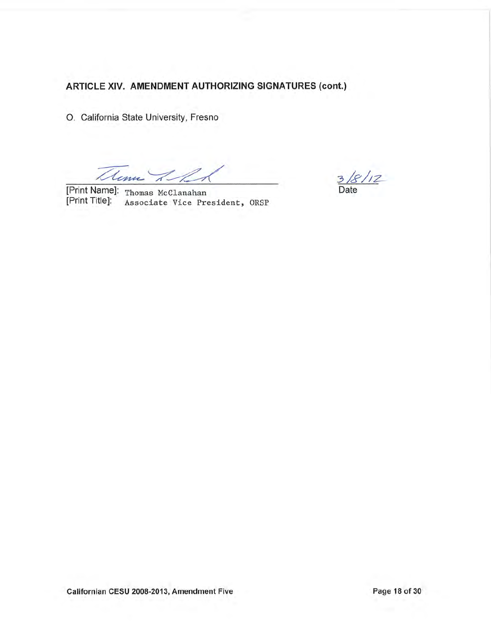O. California State University, Fresno

Thema I R

[Print Name]: Thomas McClanahan [Print Title]: Associate Vice President, ORSP

 $3/8/12$ Date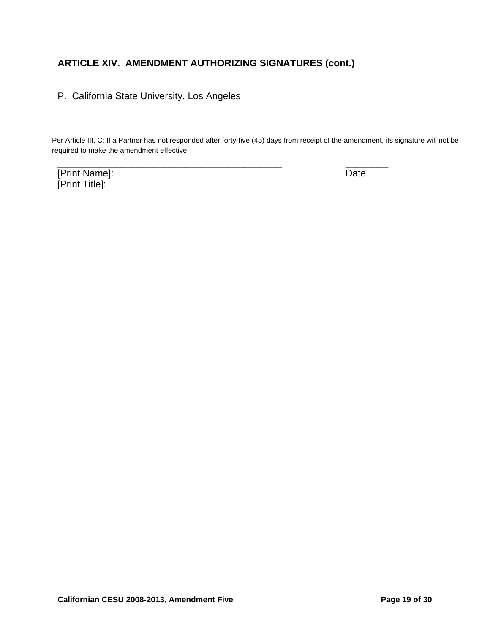P. California State University, Los Angeles

Per Article III, C: If a Partner has not responded after forty-five (45) days from receipt of the amendment, its signature will not be required to make the amendment effective.

\_\_\_\_\_\_\_\_\_\_\_\_\_\_\_\_\_\_\_\_\_\_\_\_\_\_\_\_\_\_\_\_\_\_\_\_\_\_\_\_\_\_ \_\_\_\_\_\_\_\_

[Print Name]: Date [Print Title]: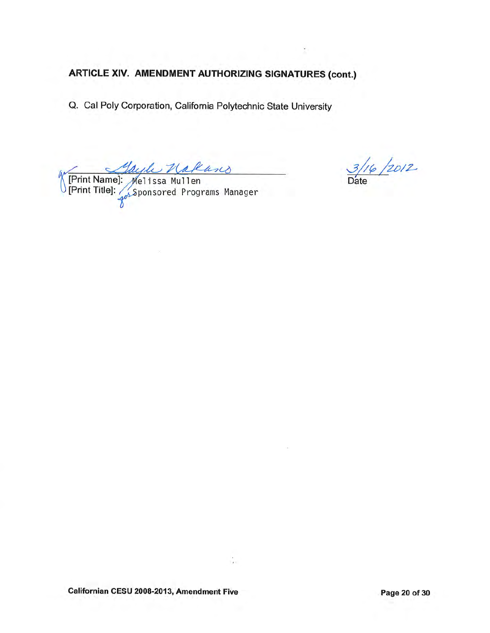Q. Cal Poly Corporation, California Polytechnic State University

Mayle Nakares<br>MPrint Name]: Melissa Mullen<br>Print Title]: Sponsored Programs Manager

 $\frac{3/16}{\text{Date}}$ 

÷.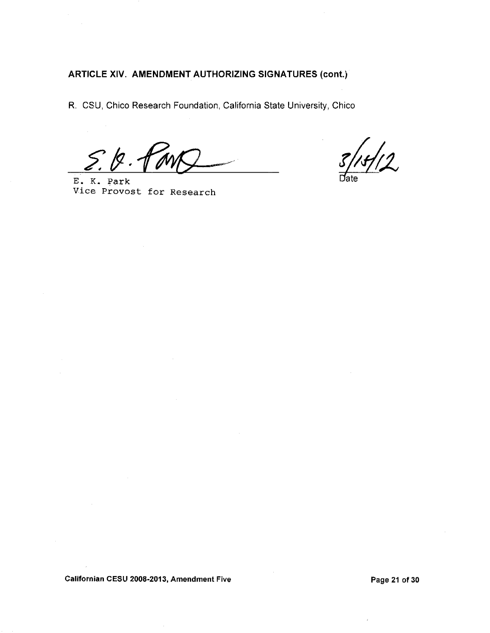R. CSU, Chico Research Foundation, California State University, Chico

Ź.

E. K. Park Vice Provost for Research

 $/12$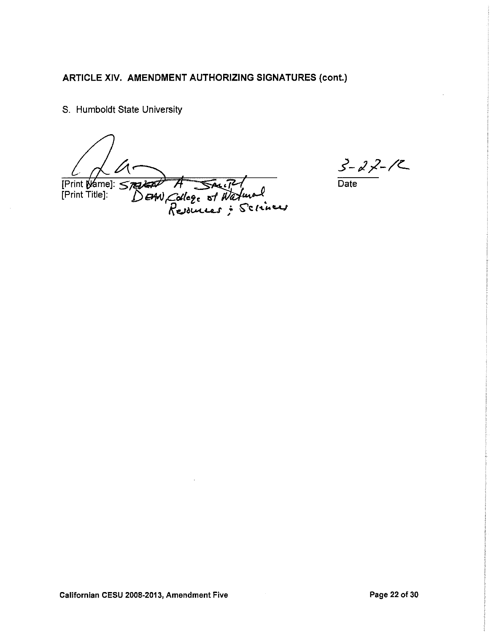S. Humboldt State University

Print Wame]: 5732200 READ A SAUTH<br>DEAN, College of Watural

 $3 - 22 - 12$ 

 $\overline{Date}$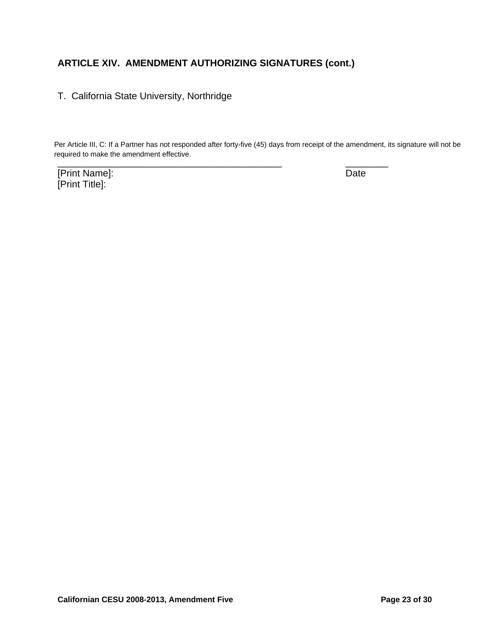T. California State University, Northridge

\_\_\_\_\_\_\_\_\_\_\_\_\_\_\_\_\_\_\_\_\_\_\_\_\_\_\_\_\_\_\_\_\_\_\_\_\_\_\_\_\_\_ \_\_\_\_\_\_\_\_ Per Article III, C: If a Partner has not responded after forty-five (45) days from receipt of the amendment, its signature will not be required to make the amendment effective.

[Print Name]: Date [Print Title]: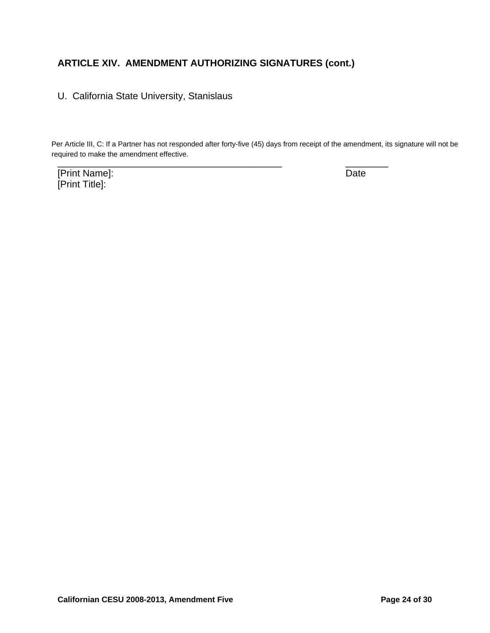U. California State University, Stanislaus

Per Article III, C: If a Partner has not responded after forty-five (45) days from receipt of the amendment, its signature will not be required to make the amendment effective.

\_\_\_\_\_\_\_\_\_\_\_\_\_\_\_\_\_\_\_\_\_\_\_\_\_\_\_\_\_\_\_\_\_\_\_\_\_\_\_\_\_\_ \_\_\_\_\_\_\_\_

[Print Name]: Date [Print Title]: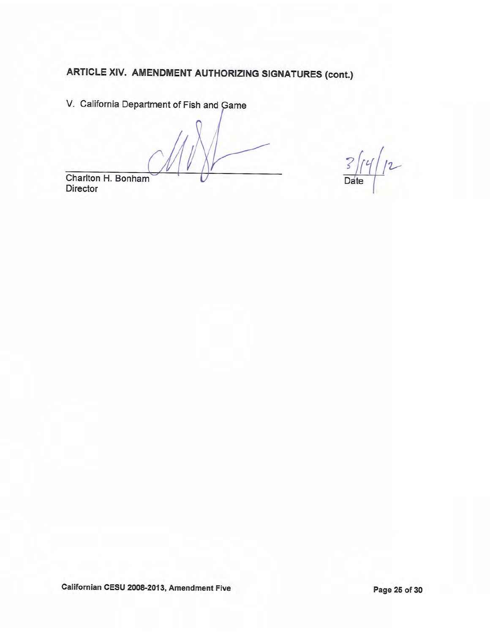V. California Department of Fish and Game

 $12$  $\overline{S}$ Date



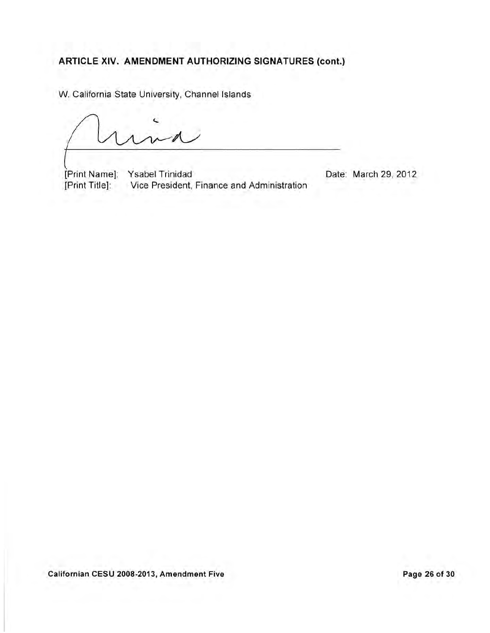W. California State University, Channel Islands

[Print Name]: Ysabel Trinidad [Print Title]: Vice President, Finance and Administration

Date: March 29, 2012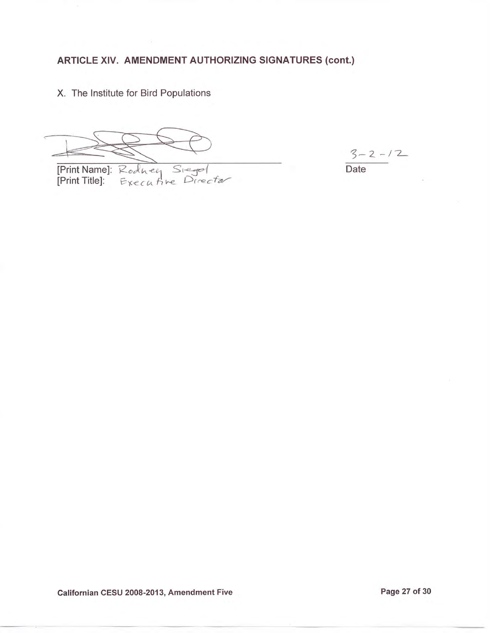X. The Institute for Bird Populations

[Print Name]: Rodney Siegel<br>[Print Title]: Executive Director

 $3 - 2 - 12$ 

Date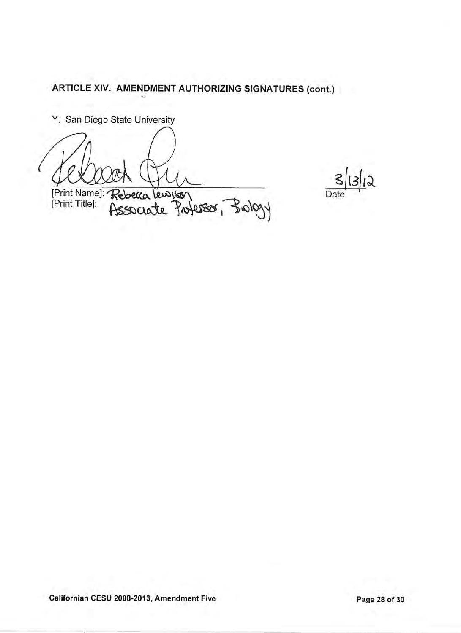Y. San Diego State University

[Print Name]: Rebeka Lewison<br>Associate Professor, Brology

S  $\overline{12}$ Date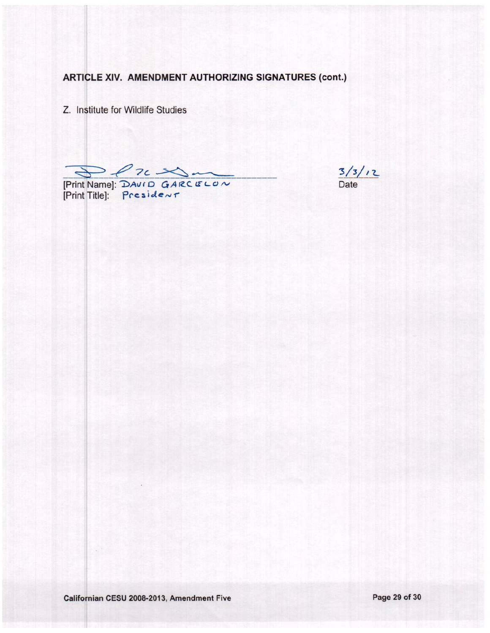Z. Institute for Wildlife Studies

Print Name]: DAVID GARCELON<br>[Print Title]: President

 $\frac{3}{3}$ / $\frac{1}{2}$ <br>Date